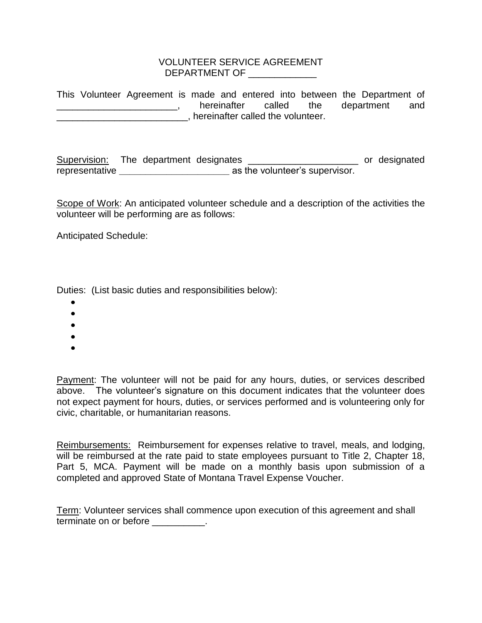## VOLUNTEER SERVICE AGREEMENT DEPARTMENT OF \_\_\_\_\_\_\_\_\_\_\_\_\_

This Volunteer Agreement is made and entered into between the Department of **Example 20**, hereinafter called the department and \_\_\_\_\_\_\_\_\_\_\_\_\_\_\_\_\_\_\_\_\_\_\_\_\_, hereinafter called the volunteer.

Supervision: The department designates \_\_\_\_\_\_\_\_\_\_\_\_\_\_\_\_\_\_\_\_\_\_\_\_ or designated representative **\_\_\_\_\_\_\_\_\_\_\_\_\_\_\_\_\_\_\_\_\_** as the volunteer's supervisor.

Scope of Work: An anticipated volunteer schedule and a description of the activities the volunteer will be performing are as follows:

Anticipated Schedule:

Duties: (List basic duties and responsibilities below):

- 
- $\bullet$
- 
- $\bullet$
- 

Payment: The volunteer will not be paid for any hours, duties, or services described above. The volunteer's signature on this document indicates that the volunteer does not expect payment for hours, duties, or services performed and is volunteering only for civic, charitable, or humanitarian reasons.

Reimbursements: Reimbursement for expenses relative to travel, meals, and lodging, will be reimbursed at the rate paid to state employees pursuant to Title 2, Chapter 18, Part 5, MCA. Payment will be made on a monthly basis upon submission of a completed and approved State of Montana Travel Expense Voucher.

Term: Volunteer services shall commence upon execution of this agreement and shall terminate on or before **the contact on the set of the set of the set of the set of the set of the set of the s**